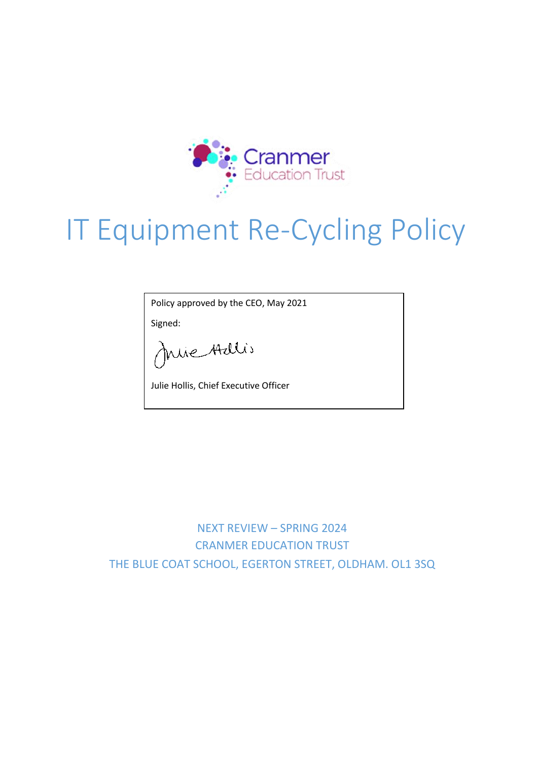

## IT Equipment Re-Cycling Policy

Policy approved by the CEO, May 2021

Signed:

Juie Adlis

Julie Hollis, Chief Executive Officer

NEXT REVIEW – SPRING 2024 CRANMER EDUCATION TRUST THE BLUE COAT SCHOOL, EGERTON STREET, OLDHAM. OL1 3SQ